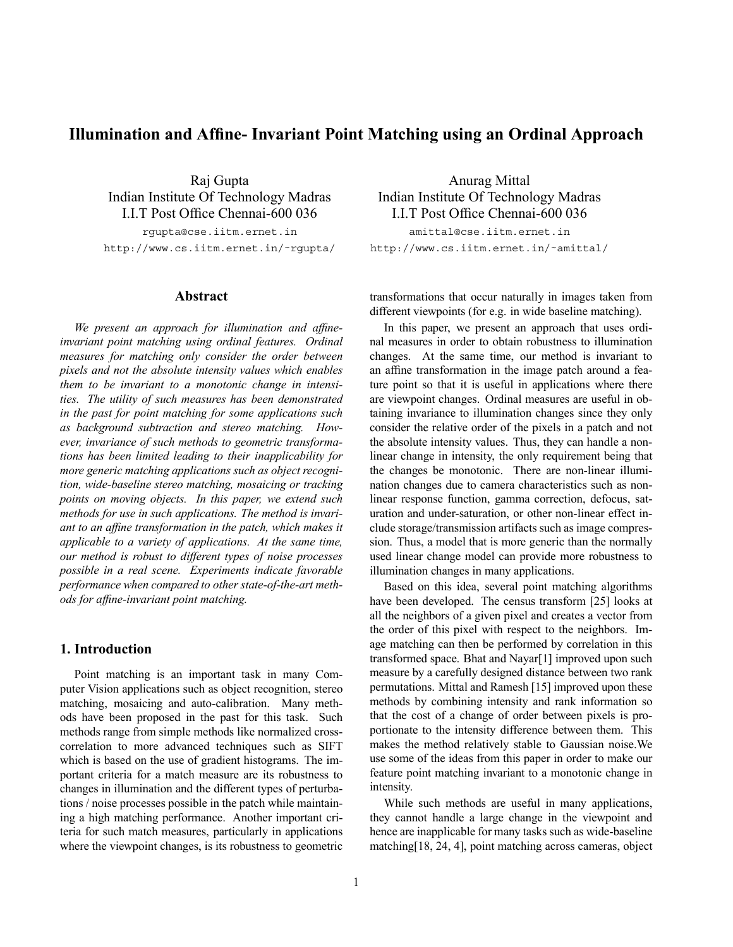# **Illumination and Affine- Invariant Point Matching using an Ordinal Approach**

Raj Gupta Indian Institute Of Technology Madras I.I.T Post Office Chennai-600 036 rgupta@cse.iitm.ernet.in http://www.cs.iitm.ernet.in/˜rgupta/

#### **Abstract**

*We present an approach for illumination and affineinvariant point matching using ordinal features. Ordinal measures for matching only consider the order between pixels and not the absolute intensity values which enables them to be invariant to a monotonic change in intensities. The utility of such measures has been demonstrated in the past for point matching for some applications such as background subtraction and stereo matching. However, invariance of such methods to geometric transformations has been limited leading to their inapplicability for more generic matching applications such as object recognition, wide-baseline stereo matching, mosaicing or tracking points on moving objects. In this paper, we extend such methods for use in such applications. The method is invariant to an affine transformation in the patch, which makes it applicable to a variety of applications. At the same time, our method is robust to different types of noise processes possible in a real scene. Experiments indicate favorable performance when compared to other state-of-the-art methods for affine-invariant point matching.*

## **1. Introduction**

Point matching is an important task in many Computer Vision applications such as object recognition, stereo matching, mosaicing and auto-calibration. Many methods have been proposed in the past for this task. Such methods range from simple methods like normalized crosscorrelation to more advanced techniques such as SIFT which is based on the use of gradient histograms. The important criteria for a match measure are its robustness to changes in illumination and the different types of perturbations / noise processes possible in the patch while maintaining a high matching performance. Another important criteria for such match measures, particularly in applications where the viewpoint changes, is its robustness to geometric

Anurag Mittal Indian Institute Of Technology Madras I.I.T Post Office Chennai-600 036 amittal@cse.iitm.ernet.in http://www.cs.iitm.ernet.in/˜amittal/

transformations that occur naturally in images taken from different viewpoints (for e.g. in wide baseline matching).

In this paper, we present an approach that uses ordinal measures in order to obtain robustness to illumination changes. At the same time, our method is invariant to an affine transformation in the image patch around a feature point so that it is useful in applications where there are viewpoint changes. Ordinal measures are useful in obtaining invariance to illumination changes since they only consider the relative order of the pixels in a patch and not the absolute intensity values. Thus, they can handle a nonlinear change in intensity, the only requirement being that the changes be monotonic. There are non-linear illumination changes due to camera characteristics such as nonlinear response function, gamma correction, defocus, saturation and under-saturation, or other non-linear effect include storage/transmission artifacts such as image compression. Thus, a model that is more generic than the normally used linear change model can provide more robustness to illumination changes in many applications.

Based on this idea, several point matching algorithms have been developed. The census transform [25] looks at all the neighbors of a given pixel and creates a vector from the order of this pixel with respect to the neighbors. Image matching can then be performed by correlation in this transformed space. Bhat and Nayar[1] improved upon such measure by a carefully designed distance between two rank permutations. Mittal and Ramesh [15] improved upon these methods by combining intensity and rank information so that the cost of a change of order between pixels is proportionate to the intensity difference between them. This makes the method relatively stable to Gaussian noise.We use some of the ideas from this paper in order to make our feature point matching invariant to a monotonic change in intensity.

While such methods are useful in many applications, they cannot handle a large change in the viewpoint and hence are inapplicable for many tasks such as wide-baseline matching[18, 24, 4], point matching across cameras, object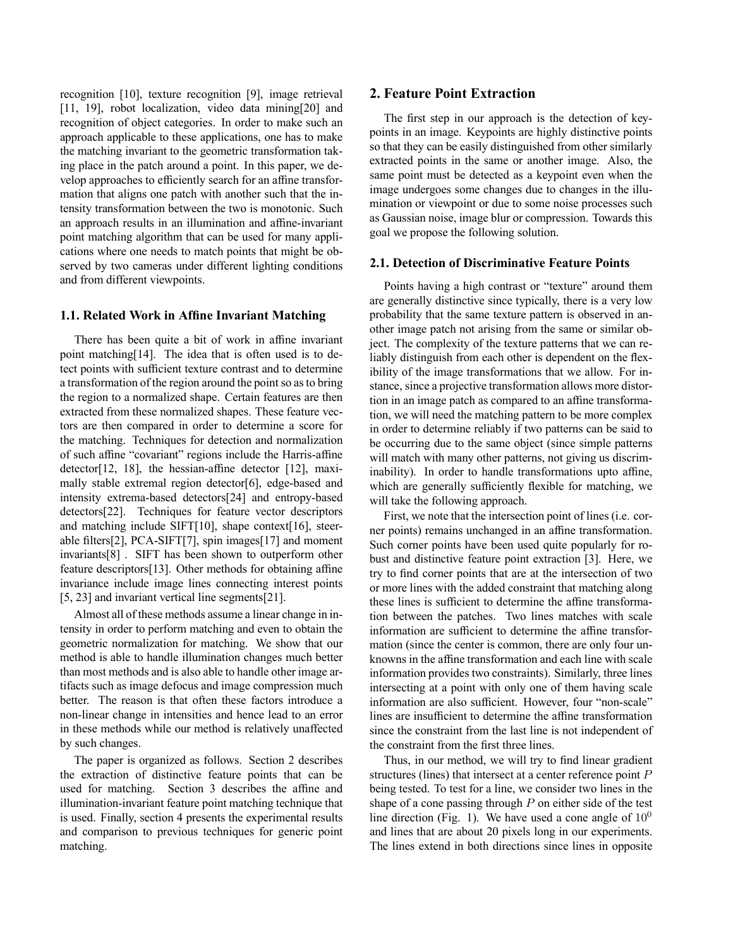recognition [10], texture recognition [9], image retrieval [11, 19], robot localization, video data mining[20] and recognition of object categories. In order to make such an approach applicable to these applications, one has to make the matching invariant to the geometric transformation taking place in the patch around a point. In this paper, we develop approaches to efficiently search for an affine transformation that aligns one patch with another such that the intensity transformation between the two is monotonic. Such an approach results in an illumination and affine-invariant point matching algorithm that can be used for many applications where one needs to match points that might be observed by two cameras under different lighting conditions and from different viewpoints.

# **1.1. Related Work in Affine Invariant Matching**

There has been quite a bit of work in affine invariant point matching[14]. The idea that is often used is to detect points with sufficient texture contrast and to determine a transformation of the region around the point so as to bring the region to a normalized shape. Certain features are then extracted from these normalized shapes. These feature vectors are then compared in order to determine a score for the matching. Techniques for detection and normalization of such affine "covariant" regions include the Harris-affine detector[12, 18], the hessian-affine detector [12], maximally stable extremal region detector[6], edge-based and intensity extrema-based detectors[24] and entropy-based detectors[22]. Techniques for feature vector descriptors and matching include SIFT[10], shape context[16], steerable filters[2], PCA-SIFT[7], spin images[17] and moment invariants[8] . SIFT has been shown to outperform other feature descriptors[13]. Other methods for obtaining affine invariance include image lines connecting interest points [5, 23] and invariant vertical line segments[21].

Almost all of these methods assume a linear change in intensity in order to perform matching and even to obtain the geometric normalization for matching. We show that our method is able to handle illumination changes much better than most methods and is also able to handle other image artifacts such as image defocus and image compression much better. The reason is that often these factors introduce a non-linear change in intensities and hence lead to an error in these methods while our method is relatively unaffected by such changes.

The paper is organized as follows. Section 2 describes the extraction of distinctive feature points that can be used for matching. Section 3 describes the affine and illumination-invariant feature point matching technique that is used. Finally, section 4 presents the experimental results and comparison to previous techniques for generic point matching.

# **2. Feature Point Extraction**

The first step in our approach is the detection of keypoints in an image. Keypoints are highly distinctive points so that they can be easily distinguished from other similarly extracted points in the same or another image. Also, the same point must be detected as a keypoint even when the image undergoes some changes due to changes in the illumination or viewpoint or due to some noise processes such as Gaussian noise, image blur or compression. Towards this goal we propose the following solution.

## **2.1. Detection of Discriminative Feature Points**

Points having a high contrast or "texture" around them are generally distinctive since typically, there is a very low probability that the same texture pattern is observed in another image patch not arising from the same or similar object. The complexity of the texture patterns that we can reliably distinguish from each other is dependent on the flexibility of the image transformations that we allow. For instance, since a projective transformation allows more distortion in an image patch as compared to an affine transformation, we will need the matching pattern to be more complex in order to determine reliably if two patterns can be said to be occurring due to the same object (since simple patterns will match with many other patterns, not giving us discriminability). In order to handle transformations upto affine, which are generally sufficiently flexible for matching, we will take the following approach.

First, we note that the intersection point of lines (i.e. corner points) remains unchanged in an affine transformation. Such corner points have been used quite popularly for robust and distinctive feature point extraction [3]. Here, we try to find corner points that are at the intersection of two or more lines with the added constraint that matching along these lines is sufficient to determine the affine transformation between the patches. Two lines matches with scale information are sufficient to determine the affine transformation (since the center is common, there are only four unknowns in the affine transformation and each line with scale information provides two constraints). Similarly, three lines intersecting at a point with only one of them having scale information are also sufficient. However, four "non-scale" lines are insufficient to determine the affine transformation since the constraint from the last line is not independent of the constraint from the first three lines.

Thus, in our method, we will try to find linear gradient structures (lines) that intersect at a center reference point P being tested. To test for a line, we consider two lines in the shape of a cone passing through  $P$  on either side of the test line direction (Fig. 1). We have used a cone angle of  $10^0$ and lines that are about 20 pixels long in our experiments. The lines extend in both directions since lines in opposite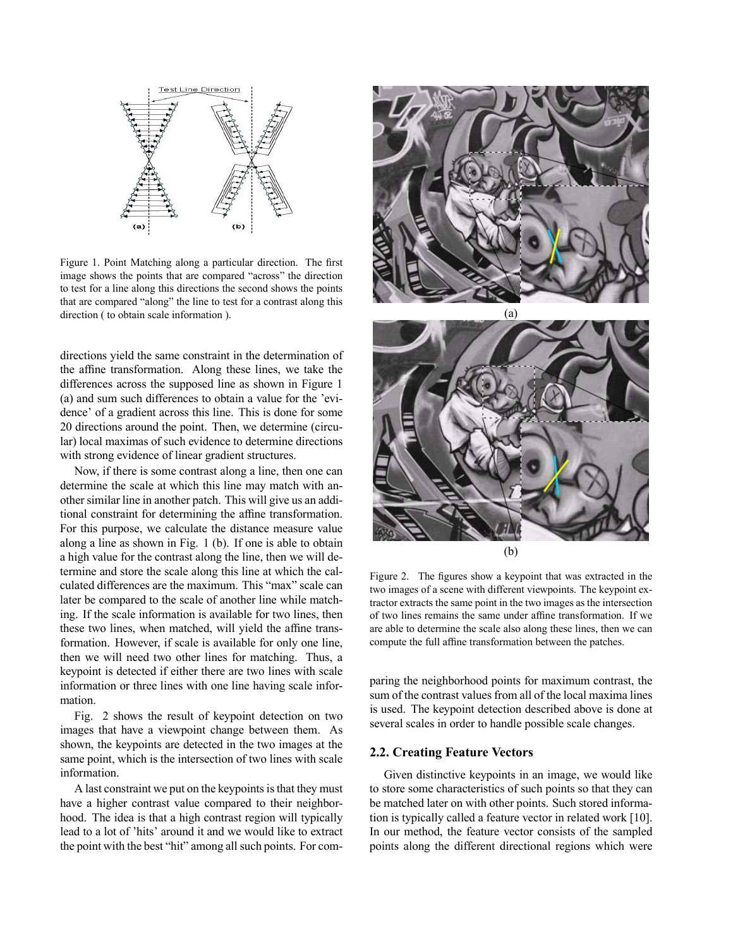

Figure 1. Point Matching along a particular direction. The first image shows the points that are compared "across" the direction to test for a line along this directions the second shows the points that are compared "along" the line to test for a contrast along this direction ( to obtain scale information ).

directions yield the same constraint in the determination of the affine transformation. Along these lines, we take the differences across the supposed line as shown in Figure 1 (a) and sum such differences to obtain a value for the 'evidence' of a gradient across this line. This is done for some 20 directions around the point. Then, we determine (circular) local maximas of such evidence to determine directions with strong evidence of linear gradient structures.

Now, if there is some contrast along a line, then one can determine the scale at which this line may match with another similar line in another patch. This will give us an additional constraint for determining the affine transformation. For this purpose, we calculate the distance measure value along a line as shown in Fig. 1 (b). If one is able to obtain a high value for the contrast along the line, then we will determine and store the scale along this line at which the calculated differences are the maximum. This "max" scale can later be compared to the scale of another line while matching. If the scale information is available for two lines, then these two lines, when matched, will yield the affine transformation. However, if scale is available for only one line, then we will need two other lines for matching. Thus, a keypoint is detected if either there are two lines with scale information or three lines with one line having scale information.

Fig. 2 shows the result of keypoint detection on two images that have a viewpoint change between them. As shown, the keypoints are detected in the two images at the same point, which is the intersection of two lines with scale information.

A last constraint we put on the keypoints is that they must have a higher contrast value compared to their neighborhood. The idea is that a high contrast region will typically lead to a lot of 'hits' around it and we would like to extract the point with the best "hit" among all such points. For com-





Figure 2. The figures show a keypoint that was extracted in the two images of a scene with different viewpoints. The keypoint extractor extracts the same point in the two images as the intersection of two lines remains the same under affine transformation. If we are able to determine the scale also along these lines, then we can compute the full affine transformation between the patches.

paring the neighborhood points for maximum contrast, the sum of the contrast values from all of the local maxima lines is used. The keypoint detection described above is done at several scales in order to handle possible scale changes.

#### **2.2. Creating Feature Vectors**

Given distinctive keypoints in an image, we would like to store some characteristics of such points so that they can be matched later on with other points. Such stored information is typically called a feature vector in related work [10]. In our method, the feature vector consists of the sampled points along the different directional regions which were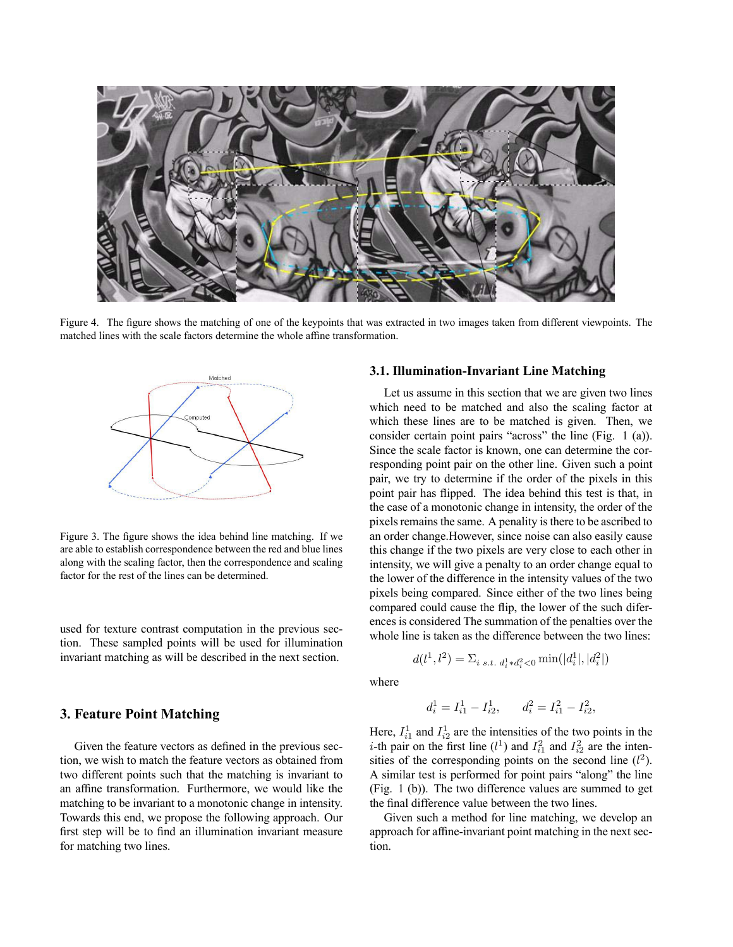

Figure 4. The figure shows the matching of one of the keypoints that was extracted in two images taken from different viewpoints. The matched lines with the scale factors determine the whole affine transformation.



Figure 3. The figure shows the idea behind line matching. If we are able to establish correspondence between the red and blue lines along with the scaling factor, then the correspondence and scaling factor for the rest of the lines can be determined.

used for texture contrast computation in the previous section. These sampled points will be used for illumination invariant matching as will be described in the next section.

# **3. Feature Point Matching**

Given the feature vectors as defined in the previous section, we wish to match the feature vectors as obtained from two different points such that the matching is invariant to an affine transformation. Furthermore, we would like the matching to be invariant to a monotonic change in intensity. Towards this end, we propose the following approach. Our first step will be to find an illumination invariant measure for matching two lines.

#### **3.1. Illumination-Invariant Line Matching**

Let us assume in this section that we are given two lines which need to be matched and also the scaling factor at which these lines are to be matched is given. Then, we consider certain point pairs "across" the line (Fig. 1 (a)). Since the scale factor is known, one can determine the corresponding point pair on the other line. Given such a point pair, we try to determine if the order of the pixels in this point pair has flipped. The idea behind this test is that, in the case of a monotonic change in intensity, the order of the pixels remains the same. A penality is there to be ascribed to an order change.However, since noise can also easily cause this change if the two pixels are very close to each other in intensity, we will give a penalty to an order change equal to the lower of the difference in the intensity values of the two pixels being compared. Since either of the two lines being compared could cause the flip, the lower of the such diferences is considered The summation of the penalties over the whole line is taken as the difference between the two lines:

$$
d(l^1, l^2) = \sum_{i \ s.t. \ d_i^1 * d_i^2 < 0} \min(|d_i^1|, |d_i^2|)
$$

where

$$
d_i^1 = I_{i1}^1 - I_{i2}^1, \qquad d_i^2 = I_{i1}^2 - I_{i2}^2,
$$

Here,  $I_{i1}^1$  and  $I_{i2}^1$  are the intensities of the two points in the *i*-th pair on the first line  $(l^1)$  and  $I_{i1}^2$  and  $I_{i2}^2$  are the intensities of the corresponding points on the second line  $(l^2)$ . A similar test is performed for point pairs "along" the line (Fig. 1 (b)). The two difference values are summed to get the final difference value between the two lines.

Given such a method for line matching, we develop an approach for affine-invariant point matching in the next section.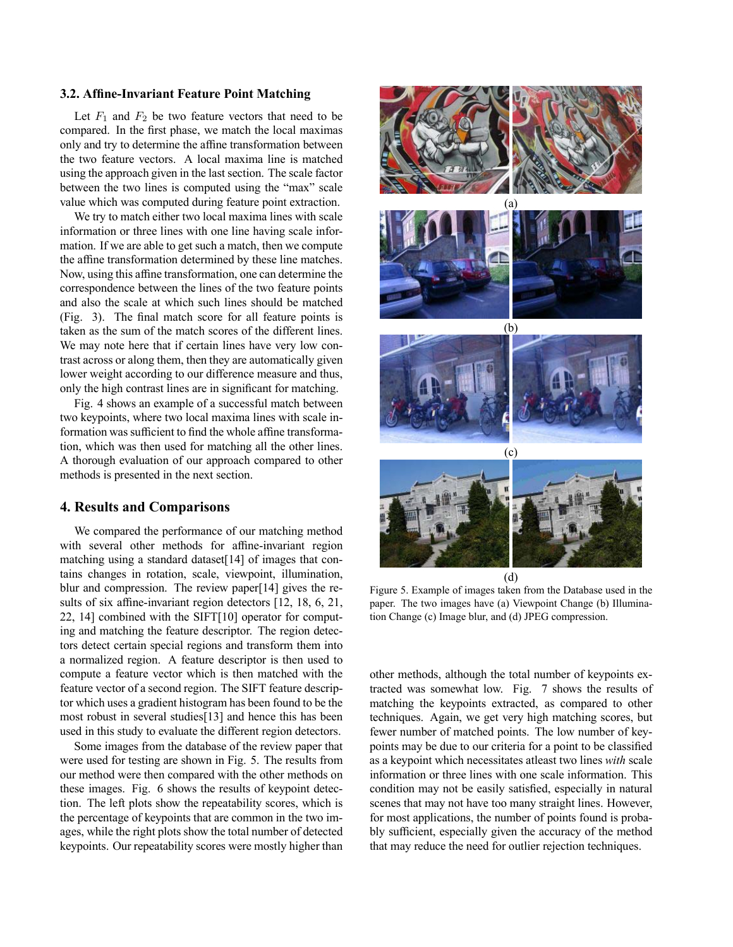## **3.2. Affine-Invariant Feature Point Matching**

Let  $F_1$  and  $F_2$  be two feature vectors that need to be compared. In the first phase, we match the local maximas only and try to determine the affine transformation between the two feature vectors. A local maxima line is matched using the approach given in the last section. The scale factor between the two lines is computed using the "max" scale value which was computed during feature point extraction.

We try to match either two local maxima lines with scale information or three lines with one line having scale information. If we are able to get such a match, then we compute the affine transformation determined by these line matches. Now, using this affine transformation, one can determine the correspondence between the lines of the two feature points and also the scale at which such lines should be matched (Fig. 3). The final match score for all feature points is taken as the sum of the match scores of the different lines. We may note here that if certain lines have very low contrast across or along them, then they are automatically given lower weight according to our difference measure and thus, only the high contrast lines are in significant for matching.

Fig. 4 shows an example of a successful match between two keypoints, where two local maxima lines with scale information was sufficient to find the whole affine transformation, which was then used for matching all the other lines. A thorough evaluation of our approach compared to other methods is presented in the next section.

#### **4. Results and Comparisons**

We compared the performance of our matching method with several other methods for affine-invariant region matching using a standard dataset [14] of images that contains changes in rotation, scale, viewpoint, illumination, blur and compression. The review paper[14] gives the results of six affine-invariant region detectors [12, 18, 6, 21, 22, 14] combined with the SIFT[10] operator for computing and matching the feature descriptor. The region detectors detect certain special regions and transform them into a normalized region. A feature descriptor is then used to compute a feature vector which is then matched with the feature vector of a second region. The SIFT feature descriptor which uses a gradient histogram has been found to be the most robust in several studies[13] and hence this has been used in this study to evaluate the different region detectors.

Some images from the database of the review paper that were used for testing are shown in Fig. 5. The results from our method were then compared with the other methods on these images. Fig. 6 shows the results of keypoint detection. The left plots show the repeatability scores, which is the percentage of keypoints that are common in the two images, while the right plots show the total number of detected keypoints. Our repeatability scores were mostly higher than



Figure 5. Example of images taken from the Database used in the paper. The two images have (a) Viewpoint Change (b) Illumination Change (c) Image blur, and (d) JPEG compression.

other methods, although the total number of keypoints extracted was somewhat low. Fig. 7 shows the results of matching the keypoints extracted, as compared to other techniques. Again, we get very high matching scores, but fewer number of matched points. The low number of keypoints may be due to our criteria for a point to be classified as a keypoint which necessitates atleast two lines *with* scale information or three lines with one scale information. This condition may not be easily satisfied, especially in natural scenes that may not have too many straight lines. However, for most applications, the number of points found is probably sufficient, especially given the accuracy of the method that may reduce the need for outlier rejection techniques.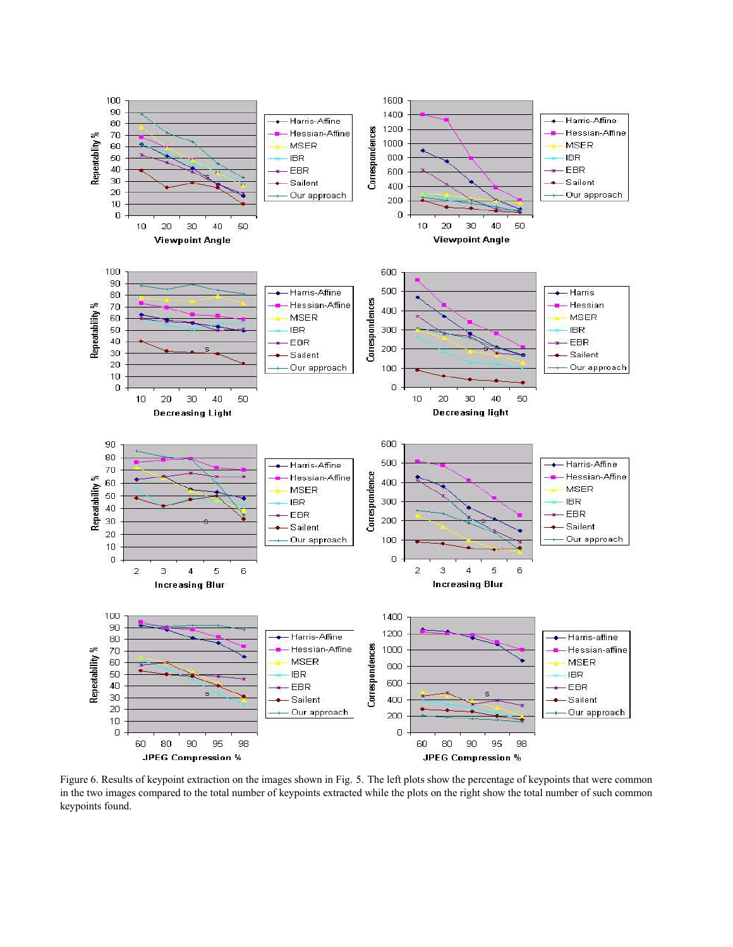

Figure 6. Results of keypoint extraction on the images shown in Fig. 5. The left plots show the percentage of keypoints that were common in the two images compared to the total number of keypoints extracted while the plots on the right show the total number of such common keypoints found.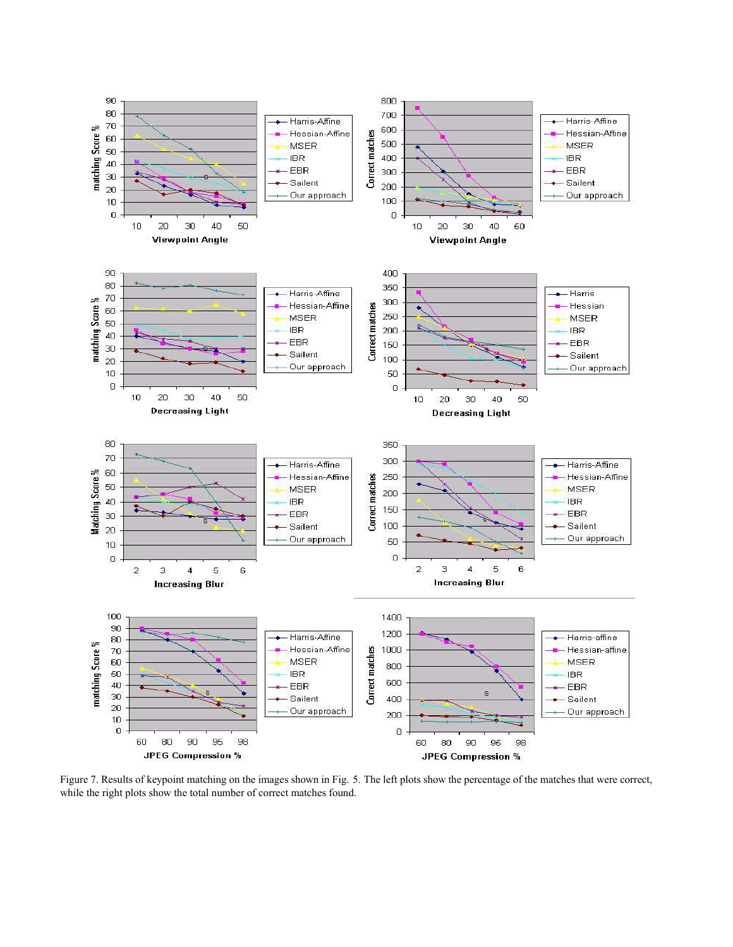

Figure 7. Results of keypoint matching on the images shown in Fig. 5. The left plots show the percentage of the matches that were correct, while the right plots show the total number of correct matches found.